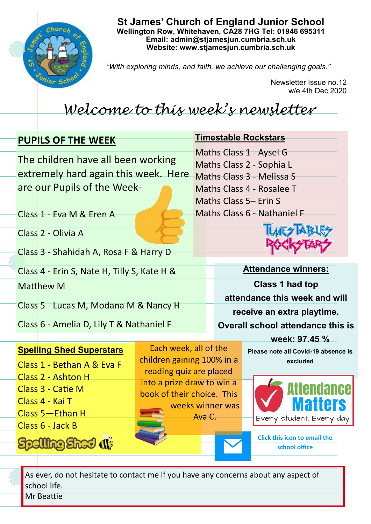

**St James' Church of England Junior School Wellington Row, Whitehaven, CA28 7HG Tel: 01946 695311 Email: admin@stjamesjun.cumbria.sch.uk Website: www.stjamesjun.cumbria.sch.uk**

*"With exploring minds, and faith, we achieve our challenging goals."*

Newsletter Issue no.12 w/e 4th Dec 2020

## *Welcome to this week's newsletter*

| <b>PUPILS OF THE WEEK</b> |                                                                                                                                                                                                |                                                                                                                                            | <b>Timestable Rockstars</b>                                                                                                                                                                        |  |
|---------------------------|------------------------------------------------------------------------------------------------------------------------------------------------------------------------------------------------|--------------------------------------------------------------------------------------------------------------------------------------------|----------------------------------------------------------------------------------------------------------------------------------------------------------------------------------------------------|--|
|                           | The children have all been working<br>are our Pupils of the Week-                                                                                                                              | extremely hard again this week. Here                                                                                                       | Maths Class 1 - Aysel G<br>Maths Class 2 - Sophia L<br>Maths Class 3 - Melissa S<br>Maths Class 4 - Rosalee T<br>Maths Class 5– Erin S                                                             |  |
|                           | Class 1 - Eva M & Eren A                                                                                                                                                                       |                                                                                                                                            | Maths Class 6 - Nathaniel F                                                                                                                                                                        |  |
|                           | Class 2 - Olivia A                                                                                                                                                                             |                                                                                                                                            |                                                                                                                                                                                                    |  |
|                           | Class 3 - Shahidah A, Rosa F & Harry D                                                                                                                                                         |                                                                                                                                            |                                                                                                                                                                                                    |  |
|                           | Class 4 - Erin S, Nate H, Tilly S, Kate H &                                                                                                                                                    |                                                                                                                                            | <b>Attendance winners:</b>                                                                                                                                                                         |  |
|                           | <b>Matthew M</b>                                                                                                                                                                               |                                                                                                                                            | <b>Class 1 had top</b>                                                                                                                                                                             |  |
|                           | Class 5 - Lucas M, Modana M & Nancy H                                                                                                                                                          |                                                                                                                                            | attendance this week and will<br>receive an extra playtime.                                                                                                                                        |  |
|                           | Class 6 - Amelia D, Lily T & Nathaniel F                                                                                                                                                       |                                                                                                                                            | <b>Overall school attendance this is</b>                                                                                                                                                           |  |
|                           |                                                                                                                                                                                                |                                                                                                                                            | week: 97.45 %                                                                                                                                                                                      |  |
|                           | <b>Spelling Shed Superstars</b><br>Class 1 - Bethan A & Eva F<br>Class 2 - Ashton H<br>Class 3 - Catie M<br>Class 4 - Kai T<br>Class 5-Ethan H<br>Class 6 - Jack B<br><b>Spelling Shed (1)</b> | Each week, all of the<br>children gaining 100% in a<br>reading quiz are placed<br>into a prize draw to win a<br>book of their choice. This | Please note all Covid-19 absence is<br>excluded<br>Attendance<br><b>Matters</b><br>weeks winner was<br>Ava C.<br>Every student. Every day.<br><b>Click this icon to email the</b><br>school office |  |
|                           | As ever, do not hesitate to contact me if you have any concerns about any aspect of                                                                                                            |                                                                                                                                            |                                                                                                                                                                                                    |  |

school life. Mr Beattie